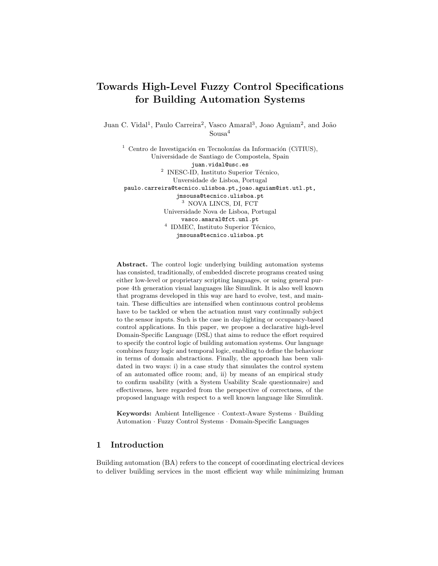# Towards High-Level Fuzzy Control Specifications for Building Automation Systems

Juan C. Vidal<sup>1</sup>, Paulo Carreira<sup>2</sup>, Vasco Amaral<sup>3</sup>, Joao Aguiam<sup>2</sup>, and João Sousa<sup>4</sup>

 $1$  Centro de Investigación en Tecnoloxías da Información (CiTIUS), Universidade de Santiago de Compostela, Spain juan.vidal@usc.es <sup>2</sup> INESC-ID, Instituto Superior Técnico, Unversidade de Lisboa, Portugal paulo.carreira@tecnico.ulisboa.pt,joao.aguiam@ist.utl.pt, jmsousa@tecnico.ulisboa.pt <sup>3</sup> NOVA LINCS, DI, FCT Universidade Nova de Lisboa, Portugal vasco.amaral@fct.unl.pt <sup>4</sup> IDMEC, Instituto Superior Técnico, jmsousa@tecnico.ulisboa.pt

Abstract. The control logic underlying building automation systems has consisted, traditionally, of embedded discrete programs created using either low-level or proprietary scripting languages, or using general purpose 4th generation visual languages like Simulink. It is also well known that programs developed in this way are hard to evolve, test, and maintain. These difficulties are intensified when continuous control problems have to be tackled or when the actuation must vary continually subject to the sensor inputs. Such is the case in day-lighting or occupancy-based control applications. In this paper, we propose a declarative high-level Domain-Specific Language (DSL) that aims to reduce the effort required to specify the control logic of building automation systems. Our language combines fuzzy logic and temporal logic, enabling to define the behaviour in terms of domain abstractions. Finally, the approach has been validated in two ways: i) in a case study that simulates the control system of an automated office room; and, ii) by means of an empirical study to confirm usability (with a System Usability Scale questionnaire) and effectiveness, here regarded from the perspective of correctness, of the proposed language with respect to a well known language like Simulink.

Keywords: Ambient Intelligence · Context-Aware Systems · Building Automation · Fuzzy Control Systems · Domain-Specific Languages

# 1 Introduction

Building automation (BA) refers to the concept of coordinating electrical devices to deliver building services in the most efficient way while minimizing human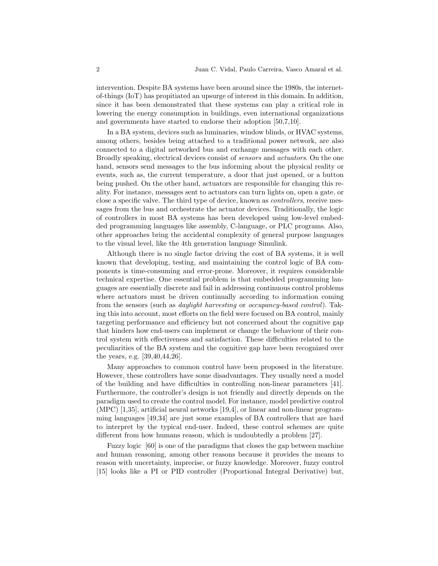intervention. Despite BA systems have been around since the 1980s, the internetof-things (IoT) has propitiated an upsurge of interest in this domain. In addition, since it has been demonstrated that these systems can play a critical role in lowering the energy consumption in buildings, even international organizations and governments have started to endorse their adoption [50,7,10].

In a BA system, devices such as luminaries, window blinds, or HVAC systems, among others, besides being attached to a traditional power network, are also connected to a digital networked bus and exchange messages with each other. Broadly speaking, electrical devices consist of sensors and actuators. On the one hand, sensors send messages to the bus informing about the physical reality or events, such as, the current temperature, a door that just opened, or a button being pushed. On the other hand, actuators are responsible for changing this reality. For instance, messages sent to actuators can turn lights on, open a gate, or close a specific valve. The third type of device, known as controllers, receive messages from the bus and orchestrate the actuator devices. Traditionally, the logic of controllers in most BA systems has been developed using low-level embedded programming languages like assembly, C-language, or PLC programs. Also, other approaches bring the accidental complexity of general purpose languages to the visual level, like the 4th generation language Simulink.

Although there is no single factor driving the cost of BA systems, it is well known that developing, testing, and maintaining the control logic of BA components is time-consuming and error-prone. Moreover, it requires considerable technical expertise. One essential problem is that embedded programming languages are essentially discrete and fail in addressing continuous control problems where actuators must be driven continually according to information coming from the sensors (such as daylight harvesting or occupancy-based control). Taking this into account, most efforts on the field were focused on BA control, mainly targeting performance and efficiency but not concerned about the cognitive gap that hinders how end-users can implement or change the behaviour of their control system with effectiveness and satisfaction. These difficulties related to the peculiarities of the BA system and the cognitive gap have been recognized over the years, e.g. [39,40,44,26].

Many approaches to common control have been proposed in the literature. However, these controllers have some disadvantages. They usually need a model of the building and have difficulties in controlling non-linear parameters [41]. Furthermore, the controller's design is not friendly and directly depends on the paradigm used to create the control model. For instance, model predictive control (MPC) [1,35], artificial neural networks [19,4], or linear and non-linear programming languages [49,34] are just some examples of BA controllers that are hard to interpret by the typical end-user. Indeed, these control schemes are quite different from how humans reason, which is undoubtedly a problem [27].

Fuzzy logic [60] is one of the paradigms that closes the gap between machine and human reasoning, among other reasons because it provides the means to reason with uncertainty, imprecise, or fuzzy knowledge. Moreover, fuzzy control [15] looks like a PI or PID controller (Proportional Integral Derivative) but,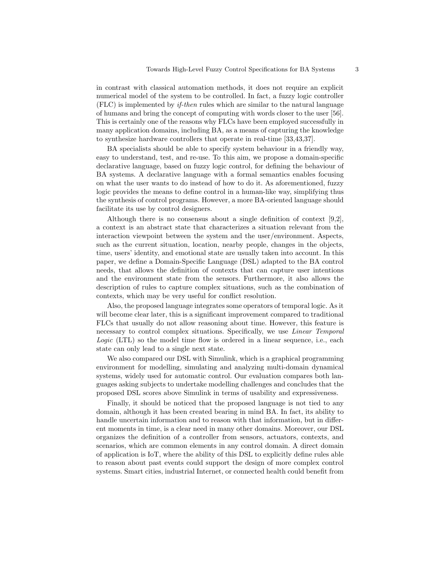in contrast with classical automation methods, it does not require an explicit numerical model of the system to be controlled. In fact, a fuzzy logic controller  $(FLC)$  is implemented by *if-then* rules which are similar to the natural language of humans and bring the concept of computing with words closer to the user [56]. This is certainly one of the reasons why FLCs have been employed successfully in many application domains, including BA, as a means of capturing the knowledge to synthesize hardware controllers that operate in real-time [33,43,37].

BA specialists should be able to specify system behaviour in a friendly way, easy to understand, test, and re-use. To this aim, we propose a domain-specific declarative language, based on fuzzy logic control, for defining the behaviour of BA systems. A declarative language with a formal semantics enables focusing on what the user wants to do instead of how to do it. As aforementioned, fuzzy logic provides the means to define control in a human-like way, simplifying thus the synthesis of control programs. However, a more BA-oriented language should facilitate its use by control designers.

Although there is no consensus about a single definition of context [9,2], a context is an abstract state that characterizes a situation relevant from the interaction viewpoint between the system and the user/environment. Aspects, such as the current situation, location, nearby people, changes in the objects, time, users' identity, and emotional state are usually taken into account. In this paper, we define a Domain-Specific Language (DSL) adapted to the BA control needs, that allows the definition of contexts that can capture user intentions and the environment state from the sensors. Furthermore, it also allows the description of rules to capture complex situations, such as the combination of contexts, which may be very useful for conflict resolution.

Also, the proposed language integrates some operators of temporal logic. As it will become clear later, this is a significant improvement compared to traditional FLCs that usually do not allow reasoning about time. However, this feature is necessary to control complex situations. Specifically, we use Linear Temporal Logic (LTL) so the model time flow is ordered in a linear sequence, i.e., each state can only lead to a single next state.

We also compared our DSL with Simulink, which is a graphical programming environment for modelling, simulating and analyzing multi-domain dynamical systems, widely used for automatic control. Our evaluation compares both languages asking subjects to undertake modelling challenges and concludes that the proposed DSL scores above Simulink in terms of usability and expressiveness.

Finally, it should be noticed that the proposed language is not tied to any domain, although it has been created bearing in mind BA. In fact, its ability to handle uncertain information and to reason with that information, but in different moments in time, is a clear need in many other domains. Moreover, our DSL organizes the definition of a controller from sensors, actuators, contexts, and scenarios, which are common elements in any control domain. A direct domain of application is IoT, where the ability of this DSL to explicitly define rules able to reason about past events could support the design of more complex control systems. Smart cities, industrial Internet, or connected health could benefit from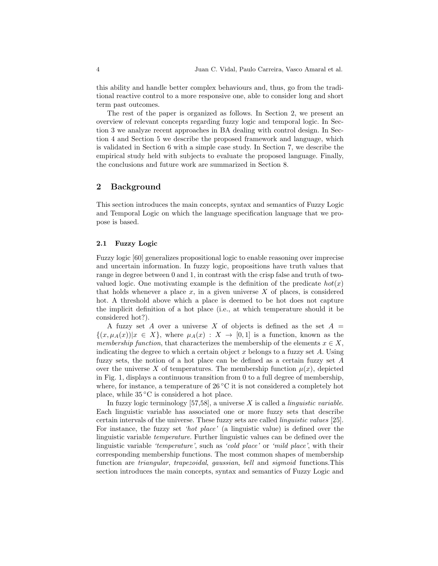this ability and handle better complex behaviours and, thus, go from the traditional reactive control to a more responsive one, able to consider long and short term past outcomes.

The rest of the paper is organized as follows. In Section 2, we present an overview of relevant concepts regarding fuzzy logic and temporal logic. In Section 3 we analyze recent approaches in BA dealing with control design. In Section 4 and Section 5 we describe the proposed framework and language, which is validated in Section 6 with a simple case study. In Section 7, we describe the empirical study held with subjects to evaluate the proposed language. Finally, the conclusions and future work are summarized in Section 8.

# 2 Background

This section introduces the main concepts, syntax and semantics of Fuzzy Logic and Temporal Logic on which the language specification language that we propose is based.

#### 2.1 Fuzzy Logic

Fuzzy logic [60] generalizes propositional logic to enable reasoning over imprecise and uncertain information. In fuzzy logic, propositions have truth values that range in degree between 0 and 1, in contrast with the crisp false and truth of twovalued logic. One motivating example is the definition of the predicate  $hot(x)$ that holds whenever a place  $x$ , in a given universe  $X$  of places, is considered hot. A threshold above which a place is deemed to be hot does not capture the implicit definition of a hot place (i.e., at which temperature should it be considered hot?).

A fuzzy set A over a universe X of objects is defined as the set  $A =$  $\{(x,\mu_A(x))|x \in X\}$ , where  $\mu_A(x): X \to [0,1]$  is a function, known as the membership function, that characterizes the membership of the elements  $x \in X$ , indicating the degree to which a certain object x belongs to a fuzzy set  $A$ . Using fuzzy sets, the notion of a hot place can be defined as a certain fuzzy set A over the universe X of temperatures. The membership function  $\mu(x)$ , depicted in Fig. 1, displays a continuous transition from 0 to a full degree of membership, where, for instance, a temperature of  $26\degree C$  it is not considered a completely hot place, while  $35^{\circ}$ C is considered a hot place.

In fuzzy logic terminology  $[57,58]$ , a universe X is called a *linguistic variable*. Each linguistic variable has associated one or more fuzzy sets that describe certain intervals of the universe. These fuzzy sets are called linguistic values [25]. For instance, the fuzzy set 'hot place' (a linguistic value) is defined over the linguistic variable temperature. Further linguistic values can be defined over the linguistic variable 'temperature', such as 'cold place' or 'mild place', with their corresponding membership functions. The most common shapes of membership function are *triangular*, *trapezoidal*, *gaussian*, *bell* and *sigmoid* functions. This section introduces the main concepts, syntax and semantics of Fuzzy Logic and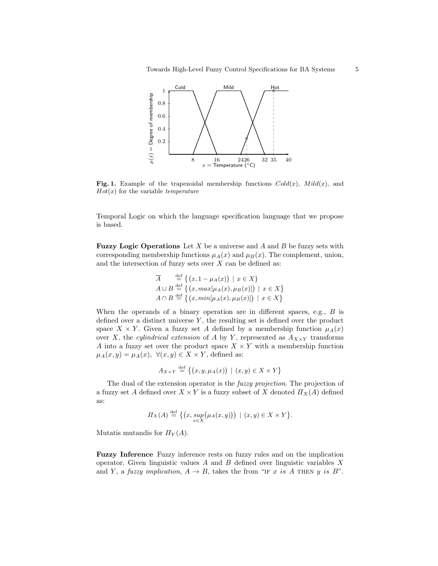

Fig. 1. Example of the trapezoidal membership functions  $Cold(x)$ ,  $Mid(x)$ , and  $Hot(x)$  for the variable temperature

Temporal Logic on which the language specification language that we propose is based.

**Fuzzy Logic Operations** Let  $X$  be a universe and  $A$  and  $B$  be fuzzy sets with corresponding membership functions  $\mu_A(x)$  and  $\mu_B(x)$ . The complement, union, and the intersection of fuzzy sets over  $X$  can be defined as:

$$
\overline{A} \stackrel{\text{def}}{=} \{ (x, 1 - \mu_A(x)) \mid x \in X \}
$$
  
\n
$$
A \cup B \stackrel{\text{def}}{=} \{ (x, max[\mu_A(x), \mu_B(x)]) \mid x \in X \}
$$
  
\n
$$
A \cap B \stackrel{\text{def}}{=} \{ (x, min[\mu_A(x), \mu_B(x)]) \mid x \in X \}
$$

When the operands of a binary operation are in different spaces, e.g.,  $B$  is defined over a distinct universe  $Y$ , the resulting set is defined over the product space  $X \times Y$ . Given a fuzzy set A defined by a membership function  $\mu_A(x)$ over X, the cylindrical extension of A by Y, represented as  $A_{X\times Y}$  transforms A into a fuzzy set over the product space  $X \times Y$  with a membership function  $\mu_A(x, y) = \mu_A(x), \ \forall (x, y) \in X \times Y,$  defined as:

$$
A_{X\times Y} \stackrel{\text{def}}{=} \{(x, y, \mu_A(x)) \mid (x, y) \in X \times Y\}
$$

The dual of the extension operator is the fuzzy projection. The projection of a fuzzy set A defined over  $X \times Y$  is a fuzzy subset of X denoted  $\Pi_X(A)$  defined as:

$$
\Pi_X(A) \stackrel{\text{def}}{=} \big\{ \big(x, \sup_{x \in X} \big(\mu_A(x, y)\big)\big) \mid (x, y) \in X \times Y \big\}.
$$

Mutatis mutandis for  $\Pi_Y(A)$ .

Fuzzy Inference Fuzzy inference rests on fuzzy rules and on the implication operator. Given linguistic values  $A$  and  $B$  defined over linguistic variables  $X$ and Y, a fuzzy implication,  $A \to B$ , takes the from "IF x is A THEN y is B".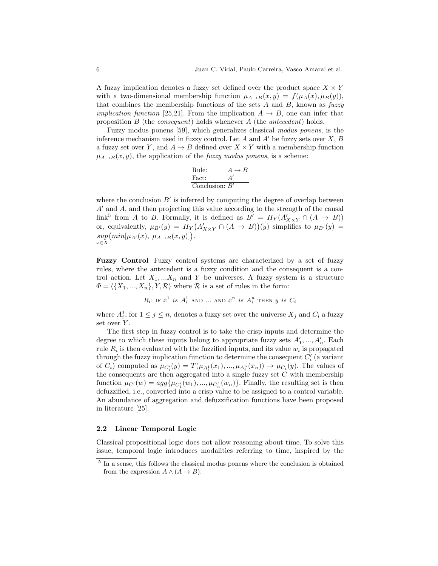A fuzzy implication denotes a fuzzy set defined over the product space  $X \times Y$ with a two-dimensional membership function  $\mu_{A\to B}(x, y) = f(\mu_A(x), \mu_B(y)),$ that combines the membership functions of the sets  $A$  and  $B$ , known as fuzzy *implication function* [25,21]. From the implication  $A \rightarrow B$ , one can infer that proposition  $B$  (the *consequent*) holds whenever  $A$  (the *antecedent*) holds.

Fuzzy modus ponens [59], which generalizes classical modus ponens, is the inference mechanism used in fuzzy control. Let A and A' be fuzzy sets over X, B a fuzzy set over Y, and  $A \to B$  defined over  $X \times Y$  with a membership function  $\mu_{A\rightarrow B}(x, y)$ , the application of the *fuzzy modus ponens*, is a scheme:

Rule: 
$$
A \rightarrow B
$$
  
Fact:  $A'$   
Conclusion:  $B'$ 

where the conclusion  $B'$  is inferred by computing the degree of overlap between  $A'$  and  $A$ , and then projecting this value according to the strength of the causal link<sup>5</sup> from A to B. Formally, it is defined as  $B' = \Pi_Y(A'_{X \times Y} \cap (A \to B))$ or, equivalently,  $\mu_{B'}(y) = \Pi_Y(A'_{X\times Y} \cap (A \to B))(y)$  simplifies to  $\mu_{B'}(y) =$ sup x∈X  $(min[\mu_{A'}(x), \ \mu_{A\rightarrow B}(x, y)]).$ 

Fuzzy Control Fuzzy control systems are characterized by a set of fuzzy rules, where the antecedent is a fuzzy condition and the consequent is a control action. Let  $X_1,...X_n$  and Y be universes. A fuzzy system is a structure  $\Phi = \langle \{X_1, ..., X_n\}, Y, \mathcal{R} \rangle$  where R is a set of rules in the form:

$$
R_i
$$
: IF  $x^1$  is  $A_i^1$  and ... and  $x^n$  is  $A_i^n$  then y is  $C_i$ 

where  $A_i^j$ , for  $1 \leq j \leq n$ , denotes a fuzzy set over the universe  $X_j$  and  $C_i$  a fuzzy set over Y.

The first step in fuzzy control is to take the crisp inputs and determine the degree to which these inputs belong to appropriate fuzzy sets  $A'_1, ..., A'_n$ . Each rule  $R_i$  is then evaluated with the fuzzified inputs, and its value  $w_i$  is propagated through the fuzzy implication function to determine the consequent  $C_i'$  (a variant of  $C_i$ ) computed as  $\mu_{C_i'}(y) = T(\mu_{A_i^1}(x_1), ..., \mu_{A_i^n}(x_n)) \to \mu_{C_i}(y)$ . The values of the consequents are then aggregated into a single fuzzy set  $C$  with membership function  $\mu_{C'}(w) = agg\{\mu_{C'_1}(w_1), ..., \mu_{C'_n}(w_n)\}\.$  Finally, the resulting set is then defuzzified, i.e., converted into a crisp value to be assigned to a control variable. An abundance of aggregation and defuzzification functions have been proposed in literature [25].

#### 2.2 Linear Temporal Logic

Classical propositional logic does not allow reasoning about time. To solve this issue, temporal logic introduces modalities referring to time, inspired by the

<sup>&</sup>lt;sup>5</sup> In a sense, this follows the classical modus ponens where the conclusion is obtained from the expression  $A \wedge (A \rightarrow B)$ .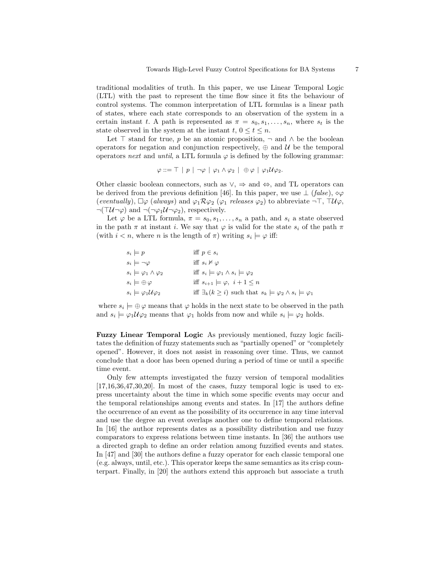traditional modalities of truth. In this paper, we use Linear Temporal Logic (LTL) with the past to represent the time flow since it fits the behaviour of control systems. The common interpretation of LTL formulas is a linear path of states, where each state corresponds to an observation of the system in a certain instant t. A path is represented as  $\pi = s_0, s_1, \ldots, s_n$ , where  $s_t$  is the state observed in the system at the instant  $t, 0 \le t \le n$ .

Let  $\top$  stand for true, p be an atomic proposition,  $\neg$  and  $\wedge$  be the boolean operators for negation and conjunction respectively,  $\oplus$  and  $\mathcal U$  be the temporal operators next and until, a LTL formula  $\varphi$  is defined by the following grammar:

$$
\varphi ::= \top | p | \neg \varphi | \varphi_1 \wedge \varphi_2 | \oplus \varphi | \varphi_1 \mathcal{U} \varphi_2.
$$

Other classic boolean connectors, such as  $\vee$ ,  $\Rightarrow$  and  $\Leftrightarrow$ , and TL operators can be derived from the previous definition [46]. In this paper, we use  $\perp$  (false),  $\diamond \varphi$ (eventually),  $\Box \varphi$  (always) and  $\varphi_1 \mathcal{R} \varphi_2$  ( $\varphi_1$  releases  $\varphi_2$ ) to abbreviate  $\neg \top$ ,  $\neg \mathcal{U} \varphi$ ,  $\neg(\top \mathcal{U} \neg \varphi)$  and  $\neg(\neg \varphi_1 \mathcal{U} \neg \varphi_2)$ , respectively.

Let  $\varphi$  be a LTL formula,  $\pi = s_0, s_1, \ldots, s_n$  a path, and  $s_i$  a state observed in the path  $\pi$  at instant i. We say that  $\varphi$  is valid for the state  $s_i$  of the path  $\pi$ (with  $i < n$ , where n is the length of  $\pi$ ) writing  $s_i \models \varphi$  iff:

$$
s_i \models p \quad \text{iff } p \in s_i
$$
\n
$$
s_i \models \neg \varphi \quad \text{iff } s_i \nvDash \varphi
$$
\n
$$
s_i \models \varphi_1 \land \varphi_2 \quad \text{iff } s_i \models \varphi_1 \land s_i \models \varphi_2
$$
\n
$$
s_i \models \oplus \varphi \quad \text{iff } s_{i+1} \models \varphi, \ i+1 \leq n
$$
\n
$$
s_i \models \varphi_1 \mathcal{U} \varphi_2 \quad \text{iff } \exists_k (k \geq i) \text{ such that } s_k \models \varphi_2 \land s_i \models \varphi_1
$$

where  $s_i \models \oplus \varphi$  means that  $\varphi$  holds in the next state to be observed in the path and  $s_i \models \varphi_1 \mathcal{U} \varphi_2$  means that  $\varphi_1$  holds from now and while  $s_i \models \varphi_2$  holds.

Fuzzy Linear Temporal Logic As previously mentioned, fuzzy logic facilitates the definition of fuzzy statements such as "partially opened" or "completely opened". However, it does not assist in reasoning over time. Thus, we cannot conclude that a door has been opened during a period of time or until a specific time event.

Only few attempts investigated the fuzzy version of temporal modalities  $[17,16,36,47,30,20]$ . In most of the cases, fuzzy temporal logic is used to express uncertainty about the time in which some specific events may occur and the temporal relationships among events and states. In [17] the authors define the occurrence of an event as the possibility of its occurrence in any time interval and use the degree an event overlaps another one to define temporal relations. In [16] the author represents dates as a possibility distribution and use fuzzy comparators to express relations between time instants. In [36] the authors use a directed graph to define an order relation among fuzzified events and states. In [47] and [30] the authors define a fuzzy operator for each classic temporal one (e.g. always, until, etc.). This operator keeps the same semantics as its crisp counterpart. Finally, in [20] the authors extend this approach but associate a truth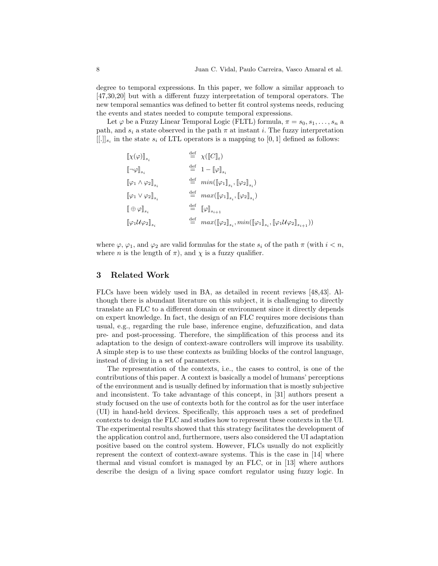degree to temporal expressions. In this paper, we follow a similar approach to [47,30,20] but with a different fuzzy interpretation of temporal operators. The new temporal semantics was defined to better fit control systems needs, reducing the events and states needed to compute temporal expressions.

Let  $\varphi$  be a Fuzzy Linear Temporal Logic (FLTL) formula,  $\pi = s_0, s_1, \ldots, s_n$  a path, and  $s_i$  a state observed in the path  $\pi$  at instant i. The fuzzy interpretation [[.]]<sub>s<sub>i</sub></sub> in the state  $s_i$  of LTL operators is a mapping to [0, 1] defined as follows:

| $\llbracket \chi(\varphi) \rrbracket_{s_i}$                   | $\stackrel{\text{def}}{=} \chi(\llbracket C \rrbracket_t)$                                                                                                                            |
|---------------------------------------------------------------|---------------------------------------------------------------------------------------------------------------------------------------------------------------------------------------|
| $\llbracket \neg \varphi \rrbracket_{s_i}$                    | $\stackrel{\text{def}}{=} 1 - \llbracket \varphi \rrbracket_{s_i}$                                                                                                                    |
| $\llbracket \varphi_1 \wedge \varphi_2 \rrbracket_{s_i}$      | $\overset{\mathrm{def}}{=}~\min(\llbracket \varphi_1 \rrbracket_{s_i}, \llbracket \varphi_2 \rrbracket_{s_i})$                                                                        |
| $\llbracket \varphi_1 \vee \varphi_2 \rrbracket_{s_i}$        | $\overset{\mathrm{def}}{=} \ max([\![\varphi_1]\!]_{s_i}, [\![\varphi_2]\!]_{s_i})$                                                                                                   |
| $[\![ \oplus \varphi ]\!]_{s_i}$                              | $\stackrel{\text{def}}{=} \llbracket \varphi \rrbracket_{s_{i+1}}$                                                                                                                    |
| $\llbracket \varphi_1 \mathcal{U} \varphi_2 \rrbracket_{s_i}$ | $\overset{\text{def}}{=} \ \ max(\llbracket \varphi_2 \rrbracket_{s_i}, min(\llbracket \varphi_1 \rrbracket_{s_i}, \llbracket \varphi_1 \mathcal{U} \varphi_2 \rrbracket_{s_{i+1}}))$ |

where  $\varphi$ ,  $\varphi_1$ , and  $\varphi_2$  are valid formulas for the state  $s_i$  of the path  $\pi$  (with  $i < n$ , where *n* is the length of  $\pi$ ), and  $\chi$  is a fuzzy qualifier.

# 3 Related Work

FLCs have been widely used in BA, as detailed in recent reviews [48,43]. Although there is abundant literature on this subject, it is challenging to directly translate an FLC to a different domain or environment since it directly depends on expert knowledge. In fact, the design of an FLC requires more decisions than usual, e.g., regarding the rule base, inference engine, defuzzification, and data pre- and post-processing. Therefore, the simplification of this process and its adaptation to the design of context-aware controllers will improve its usability. A simple step is to use these contexts as building blocks of the control language, instead of diving in a set of parameters.

The representation of the contexts, i.e., the cases to control, is one of the contributions of this paper. A context is basically a model of humans' perceptions of the environment and is usually defined by information that is mostly subjective and inconsistent. To take advantage of this concept, in [31] authors present a study focused on the use of contexts both for the control as for the user interface (UI) in hand-held devices. Specifically, this approach uses a set of predefined contexts to design the FLC and studies how to represent these contexts in the UI. The experimental results showed that this strategy facilitates the development of the application control and, furthermore, users also considered the UI adaptation positive based on the control system. However, FLCs usually do not explicitly represent the context of context-aware systems. This is the case in [14] where thermal and visual comfort is managed by an FLC, or in [13] where authors describe the design of a living space comfort regulator using fuzzy logic. In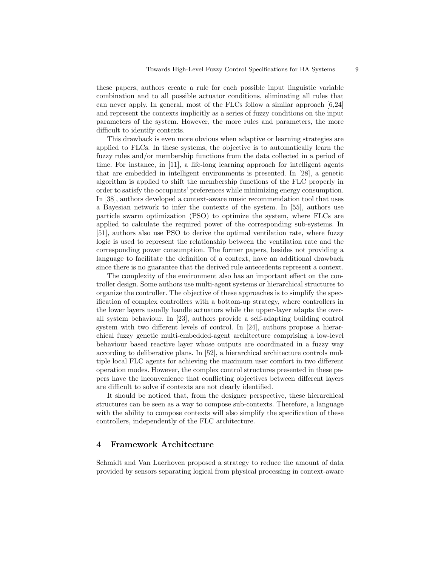these papers, authors create a rule for each possible input linguistic variable combination and to all possible actuator conditions, eliminating all rules that can never apply. In general, most of the FLCs follow a similar approach [6,24] and represent the contexts implicitly as a series of fuzzy conditions on the input parameters of the system. However, the more rules and parameters, the more difficult to identify contexts.

This drawback is even more obvious when adaptive or learning strategies are applied to FLCs. In these systems, the objective is to automatically learn the fuzzy rules and/or membership functions from the data collected in a period of time. For instance, in [11], a life-long learning approach for intelligent agents that are embedded in intelligent environments is presented. In [28], a genetic algorithm is applied to shift the membership functions of the FLC properly in order to satisfy the occupants' preferences while minimizing energy consumption. In [38], authors developed a context-aware music recommendation tool that uses a Bayesian network to infer the contexts of the system. In [55], authors use particle swarm optimization (PSO) to optimize the system, where FLCs are applied to calculate the required power of the corresponding sub-systems. In [51], authors also use PSO to derive the optimal ventilation rate, where fuzzy logic is used to represent the relationship between the ventilation rate and the corresponding power consumption. The former papers, besides not providing a language to facilitate the definition of a context, have an additional drawback since there is no guarantee that the derived rule antecedents represent a context.

The complexity of the environment also has an important effect on the controller design. Some authors use multi-agent systems or hierarchical structures to organize the controller. The objective of these approaches is to simplify the specification of complex controllers with a bottom-up strategy, where controllers in the lower layers usually handle actuators while the upper-layer adapts the overall system behaviour. In [23], authors provide a self-adapting building control system with two different levels of control. In [24], authors propose a hierarchical fuzzy genetic multi-embedded-agent architecture comprising a low-level behaviour based reactive layer whose outputs are coordinated in a fuzzy way according to deliberative plans. In [52], a hierarchical architecture controls multiple local FLC agents for achieving the maximum user comfort in two different operation modes. However, the complex control structures presented in these papers have the inconvenience that conflicting objectives between different layers are difficult to solve if contexts are not clearly identified.

It should be noticed that, from the designer perspective, these hierarchical structures can be seen as a way to compose sub-contexts. Therefore, a language with the ability to compose contexts will also simplify the specification of these controllers, independently of the FLC architecture.

# 4 Framework Architecture

Schmidt and Van Laerhoven proposed a strategy to reduce the amount of data provided by sensors separating logical from physical processing in context-aware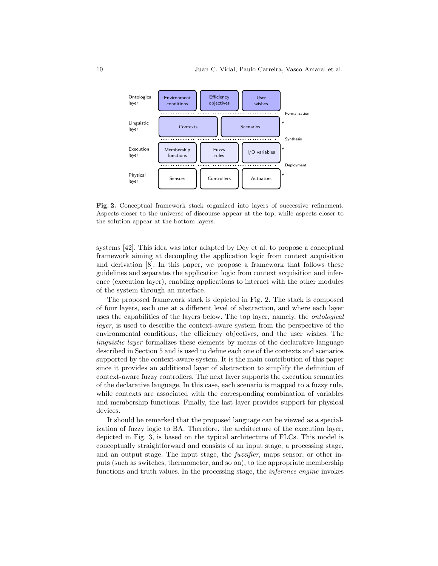

Fig. 2. Conceptual framework stack organized into layers of successive refinement. Aspects closer to the universe of discourse appear at the top, while aspects closer to the solution appear at the bottom layers.

systems [42]. This idea was later adapted by Dey et al. to propose a conceptual framework aiming at decoupling the application logic from context acquisition and derivation [8]. In this paper, we propose a framework that follows these guidelines and separates the application logic from context acquisition and inference (execution layer), enabling applications to interact with the other modules of the system through an interface.

The proposed framework stack is depicted in Fig. 2. The stack is composed of four layers, each one at a different level of abstraction, and where each layer uses the capabilities of the layers below. The top layer, namely, the ontological layer, is used to describe the context-aware system from the perspective of the environmental conditions, the efficiency objectives, and the user wishes. The linguistic layer formalizes these elements by means of the declarative language described in Section 5 and is used to define each one of the contexts and scenarios supported by the context-aware system. It is the main contribution of this paper since it provides an additional layer of abstraction to simplify the definition of context-aware fuzzy controllers. The next layer supports the execution semantics of the declarative language. In this case, each scenario is mapped to a fuzzy rule, while contexts are associated with the corresponding combination of variables and membership functions. Finally, the last layer provides support for physical devices.

It should be remarked that the proposed language can be viewed as a specialization of fuzzy logic to BA. Therefore, the architecture of the execution layer, depicted in Fig. 3, is based on the typical architecture of FLCs. This model is conceptually straightforward and consists of an input stage, a processing stage, and an output stage. The input stage, the fuzzifier, maps sensor, or other inputs (such as switches, thermometer, and so on), to the appropriate membership functions and truth values. In the processing stage, the inference engine invokes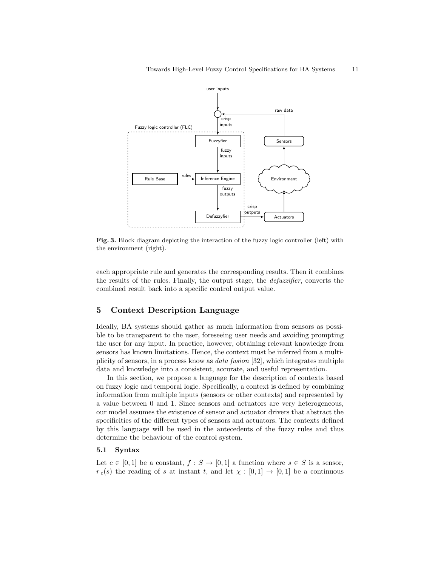

Fig. 3. Block diagram depicting the interaction of the fuzzy logic controller (left) with the environment (right).

each appropriate rule and generates the corresponding results. Then it combines the results of the rules. Finally, the output stage, the defuzzifier, converts the combined result back into a specific control output value.

# 5 Context Description Language

Ideally, BA systems should gather as much information from sensors as possible to be transparent to the user, foreseeing user needs and avoiding prompting the user for any input. In practice, however, obtaining relevant knowledge from sensors has known limitations. Hence, the context must be inferred from a multiplicity of sensors, in a process know as data fusion [32], which integrates multiple data and knowledge into a consistent, accurate, and useful representation.

In this section, we propose a language for the description of contexts based on fuzzy logic and temporal logic. Specifically, a context is defined by combining information from multiple inputs (sensors or other contexts) and represented by a value between 0 and 1. Since sensors and actuators are very heterogeneous, our model assumes the existence of sensor and actuator drivers that abstract the specificities of the different types of sensors and actuators. The contexts defined by this language will be used in the antecedents of the fuzzy rules and thus determine the behaviour of the control system.

# 5.1 Syntax

Let  $c \in [0,1]$  be a constant,  $f : S \to [0,1]$  a function where  $s \in S$  is a sensor,  $r_t(s)$  the reading of s at instant t, and let  $\chi : [0,1] \to [0,1]$  be a continuous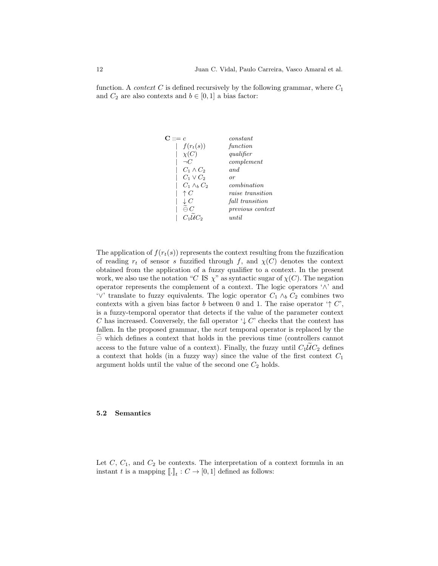function. A *context* C is defined recursively by the following grammar, where  $C_1$ and  $C_2$  are also contexts and  $b \in [0, 1]$  a bias factor:

| $\mathbf{C} ::= c$    | constant                |
|-----------------------|-------------------------|
| $f(r_t(s))$           | function                |
| $\chi(C)$             | qualifier               |
| $\neg C$              | complement              |
| $C_1 \wedge C_2$      | and                     |
| $C_1 \vee C_2$        | or                      |
| $C_1 \wedge_b C_2$    | combination             |
| $\uparrow C$          | <i>raise</i> transition |
| $\downarrow C$        | fall transition         |
| $\mathcal{C}$         | previous context        |
| $C_1\widetilde{U}C_2$ | i                       |

The application of  $f(r_t(s))$  represents the context resulting from the fuzzification of reading  $r_t$  of sensor s fuzzified through f, and  $\chi(C)$  denotes the context obtained from the application of a fuzzy qualifier to a context. In the present work, we also use the notation "C IS  $\chi$ " as syntactic sugar of  $\chi(C)$ . The negation operator represents the complement of a context. The logic operators '∧' and '∨' translate to fuzzy equivalents. The logic operator  $C_1 \wedge_b C_2$  combines two contexts with a given bias factor b between 0 and 1. The raise operator  $\uparrow C$ , is a fuzzy-temporal operator that detects if the value of the parameter context C has increased. Conversely, the fall operator  $\downarrow$  C' checks that the context has fallen. In the proposed grammar, the *next* temporal operator is replaced by the  $\widetilde{\Theta}$  which defines a context that holds in the previous time (controllers cannot access to the future value of a context). Finally, the fuzzy until  $C_1UC_2$  defines a context that holds (in a fuzzy way) since the value of the first context  $C_1$ argument holds until the value of the second one  $C_2$  holds.

#### 5.2 Semantics

Let  $C$ ,  $C_1$ , and  $C_2$  be contexts. The interpretation of a context formula in an instant t is a mapping  $[\![ . ]\!]_t : C \to [0,1]$  defined as follows: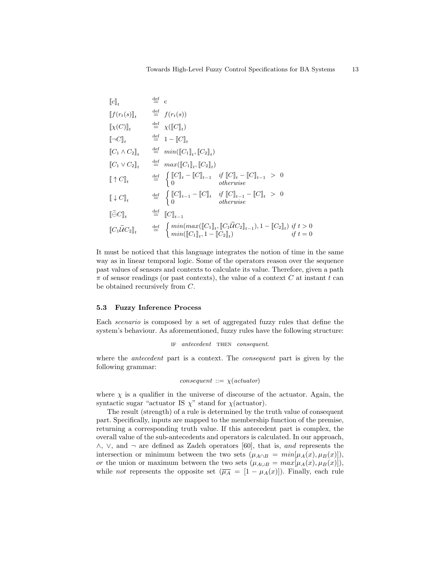$\overline{0}$ 

$$
\begin{array}{llll}\n\llbracket c \rrbracket_t & \stackrel{\text{def}}{=} & c \\
\llbracket f(r_t(s) \rrbracket_t & \stackrel{\text{def}}{=} & f(r_t(s)) \\
\llbracket \chi(C) \rrbracket_t & \stackrel{\text{def}}{=} & \chi(\llbracket C \rrbracket_t) \\
\llbracket \neg C \rrbracket_t & \stackrel{\text{def}}{=} & 1 - \llbracket C \rrbracket_t \\
\llbracket C_1 \wedge C_2 \rrbracket_t & \stackrel{\text{def}}{=} & \min(\llbracket C_1 \rrbracket_t, \llbracket C_2 \rrbracket_t) \\
\llbracket C_1 \vee C_2 \rrbracket_t & \stackrel{\text{def}}{=} & \max(\llbracket C_1 \rrbracket_t, \llbracket C_2 \rrbracket_t) \\
\llbracket \uparrow C \rrbracket_t & \stackrel{\text{def}}{=} & \begin{cases}\n\llbracket C \rrbracket_t - \llbracket C \rrbracket_{t-1} & \text{if } \llbracket C \rrbracket_{t-1} > 0 \\
0 & \text{otherwise}\n\end{cases} \\
\llbracket \downarrow C \rrbracket_t & \stackrel{\text{def}}{=} & \begin{cases}\n\llbracket C \rrbracket_{t-1} - \llbracket C \rrbracket_t, \llbracket C_1 \rrbracket_{t-1} - \llbracket C \rrbracket_t > 0 \\
0 & \text{otherwise}\n\end{cases} \\
\llbracket \widetilde{\ominus} C \rrbracket_t & \stackrel{\text{def}}{=} & \begin{cases}\n\llbracket C \rrbracket_{t-1} \\
\text{min}(\max(\llbracket C_1 \rrbracket_t, \llbracket C_1 \widetilde{U} C_2 \rrbracket_{t-1}), 1 - \llbracket C_2 \rrbracket_t) \end{cases} \text{if } t > 0 \\
\min(\llbracket C_1 \rrbracket_t, 1 - \llbracket C_2 \rrbracket_t) & \text{if } t = 0\n\end{array}
$$

It must be noticed that this language integrates the notion of time in the same way as in linear temporal logic. Some of the operators reason over the sequence past values of sensors and contexts to calculate its value. Therefore, given a path  $\pi$  of sensor readings (or past contexts), the value of a context C at instant t can be obtained recursively from C.

#### 5.3 Fuzzy Inference Process

Each scenario is composed by a set of aggregated fuzzy rules that define the system's behaviour. As aforementioned, fuzzy rules have the following structure:

```
if antecedent then consequent.
```
where the *antecedent* part is a context. The *consequent* part is given by the following grammar:

$$
consequent ::= \chi (actuator)
$$

where  $\chi$  is a qualifier in the universe of discourse of the actuator. Again, the syntactic sugar "actuator IS  $\chi$ " stand for  $\chi$ (actuator).

The result (strength) of a rule is determined by the truth value of consequent part. Specifically, inputs are mapped to the membership function of the premise, returning a corresponding truth value. If this antecedent part is complex, the overall value of the sub-antecedents and operators is calculated. In our approach,  $\land$ ,  $\lor$ , and  $\neg$  are defined as Zadeh operators [60], that is, and represents the intersection or minimum between the two sets  $(\mu_{A \cap B} = min[\mu_A(x), \mu_B(x)]),$ or the union or maximum between the two sets  $(\mu_{A\cup B} = max[\mu_A(x), \mu_B(x)]),$ while not represents the opposite set  $(\overline{\mu_A} = [1 - \mu_A(x)]$ . Finally, each rule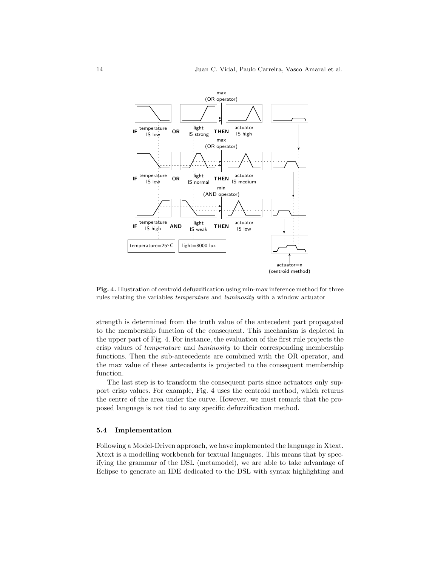

Fig. 4. Illustration of centroid defuzzification using min-max inference method for three rules relating the variables temperature and luminosity with a window actuator

strength is determined from the truth value of the antecedent part propagated to the membership function of the consequent. This mechanism is depicted in the upper part of Fig. 4. For instance, the evaluation of the first rule projects the crisp values of temperature and luminosity to their corresponding membership functions. Then the sub-antecedents are combined with the OR operator, and the max value of these antecedents is projected to the consequent membership function.

The last step is to transform the consequent parts since actuators only support crisp values. For example, Fig. 4 uses the centroid method, which returns the centre of the area under the curve. However, we must remark that the proposed language is not tied to any specific defuzzification method.

#### 5.4 Implementation

Following a Model-Driven approach, we have implemented the language in Xtext. Xtext is a modelling workbench for textual languages. This means that by specifying the grammar of the DSL (metamodel), we are able to take advantage of Eclipse to generate an IDE dedicated to the DSL with syntax highlighting and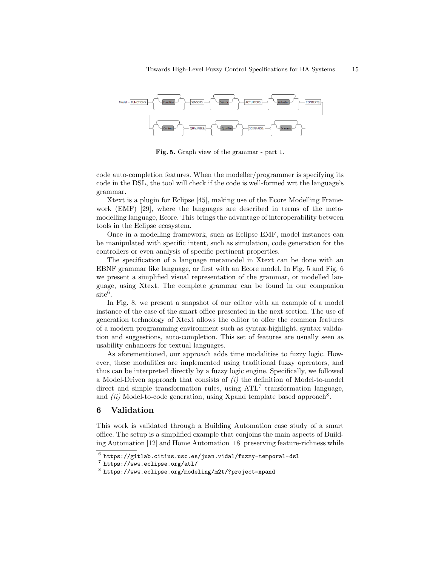

Fig. 5. Graph view of the grammar - part 1.

code auto-completion features. When the modeller/programmer is specifying its code in the DSL, the tool will check if the code is well-formed wrt the language's grammar.

Xtext is a plugin for Eclipse [45], making use of the Ecore Modelling Framework (EMF) [29], where the languages are described in terms of the metamodelling language, Ecore. This brings the advantage of interoperability between tools in the Eclipse ecosystem.

Once in a modelling framework, such as Eclipse EMF, model instances can be manipulated with specific intent, such as simulation, code generation for the controllers or even analysis of specific pertinent properties.

The specification of a language metamodel in Xtext can be done with an EBNF grammar like language, or first with an Ecore model. In Fig. 5 and Fig. 6 we present a simplified visual representation of the grammar, or modelled language, using Xtext. The complete grammar can be found in our companion  $\text{site}^6$ .

In Fig. 8, we present a snapshot of our editor with an example of a model instance of the case of the smart office presented in the next section. The use of generation technology of Xtext allows the editor to offer the common features of a modern programming environment such as syntax-highlight, syntax validation and suggestions, auto-completion. This set of features are usually seen as usability enhancers for textual languages.

As aforementioned, our approach adds time modalities to fuzzy logic. However, these modalities are implemented using traditional fuzzy operators, and thus can be interpreted directly by a fuzzy logic engine. Specifically, we followed a Model-Driven approach that consists of  $(i)$  the definition of Model-to-model direct and simple transformation rules, using ATL<sup>7</sup> transformation language, and  $(ii)$  Model-to-code generation, using Xpand template based approach<sup>8</sup>.

# 6 Validation

This work is validated through a Building Automation case study of a smart office. The setup is a simplified example that conjoins the main aspects of Building Automation [12] and Home Automation [18] preserving feature-richness while

 $^6$  https://gitlab.citius.usc.es/juan.vidal/fuzzy-temporal-dsl

 $^7$  https://www.eclipse.org/atl/

<sup>8</sup> https://www.eclipse.org/modeling/m2t/?project=xpand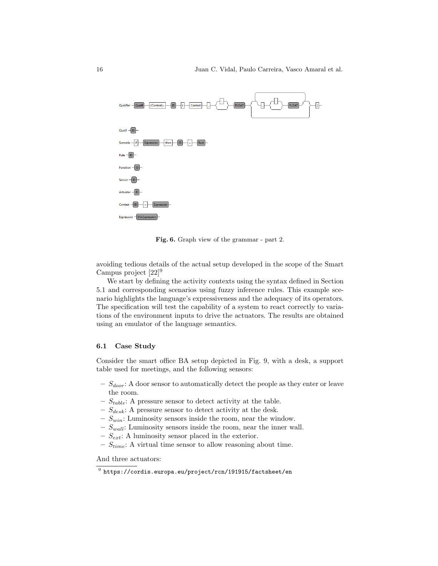

Fig. 6. Graph view of the grammar - part 2.

avoiding tedious details of the actual setup developed in the scope of the Smart Campus project [22]<sup>9</sup>

We start by defining the activity contexts using the syntax defined in Section 5.1 and corresponding scenarios using fuzzy inference rules. This example scenario highlights the language's expressiveness and the adequacy of its operators. The specification will test the capability of a system to react correctly to variations of the environment inputs to drive the actuators. The results are obtained using an emulator of the language semantics.

# 6.1 Case Study

Consider the smart office BA setup depicted in Fig. 9, with a desk, a support table used for meetings, and the following sensors:

- $-S_{door}$ : A door sensor to automatically detect the people as they enter or leave the room.
- $S_{table}$ : A pressure sensor to detect activity at the table.
- $S_{desk}$ : A pressure sensor to detect activity at the desk.
- $-S_{win}$ : Luminosity sensors inside the room, near the window.
- $S_{wall}$ : Luminosity sensors inside the room, near the inner wall.
- $S_{ext}$ : A luminosity sensor placed in the exterior.
- $-S_{time}$ : A virtual time sensor to allow reasoning about time.

And three actuators:

 $^9$  https://cordis.europa.eu/project/rcn/191915/factsheet/en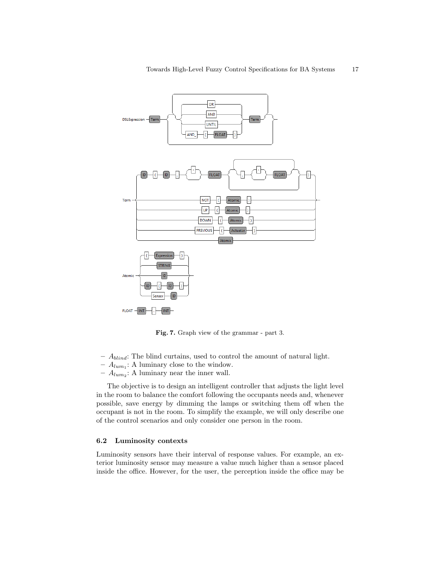

Fig. 7. Graph view of the grammar - part 3.

- $A_{blind}$ : The blind curtains, used to control the amount of natural light.
- $A_{lum_1}$ : A luminary close to the window.
- $A_{lum_2}$ : A luminary near the inner wall.

The objective is to design an intelligent controller that adjusts the light level in the room to balance the comfort following the occupants needs and, whenever possible, save energy by dimming the lamps or switching them off when the occupant is not in the room. To simplify the example, we will only describe one of the control scenarios and only consider one person in the room.

#### 6.2 Luminosity contexts

Luminosity sensors have their interval of response values. For example, an exterior luminosity sensor may measure a value much higher than a sensor placed inside the office. However, for the user, the perception inside the office may be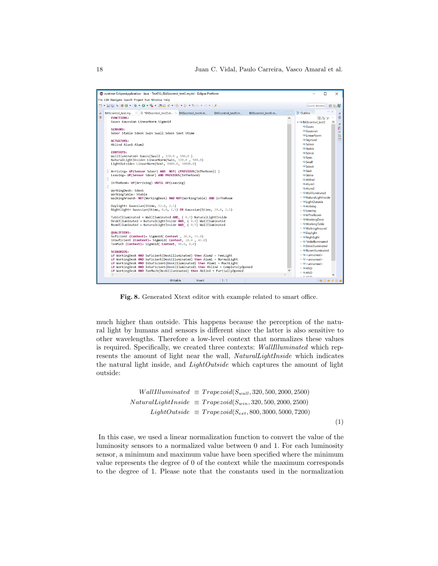

Fig. 8. Generated Xtext editor with example related to smart office.

much higher than outside. This happens because the perception of the natural light by humans and sensors is different since the latter is also sensitive to other wavelengths. Therefore a low-level context that normalizes these values is required. Specifically, we created three contexts: *WallIlluminated* which represents the amount of light near the wall, *NaturalLightInside* which indicates the natural light inside, and LightOutside which captures the amount of light outside:

$$
Wall Illuminated \equiv Trapezoid(S_{wall}, 320, 500, 2000, 2500)
$$
  
\n
$$
Natural LightInside \equiv Trapezoid(S_{win}, 320, 500, 2000, 2500)
$$
  
\n
$$
LightOutside \equiv Trapezoid(S_{ext}, 800, 3000, 5000, 7200)
$$

(1)

In this case, we used a linear normalization function to convert the value of the luminosity sensors to a normalized value between 0 and 1. For each luminosity sensor, a minimum and maximum value have been specified where the minimum value represents the degree of 0 of the context while the maximum corresponds to the degree of 1. Please note that the constants used in the normalization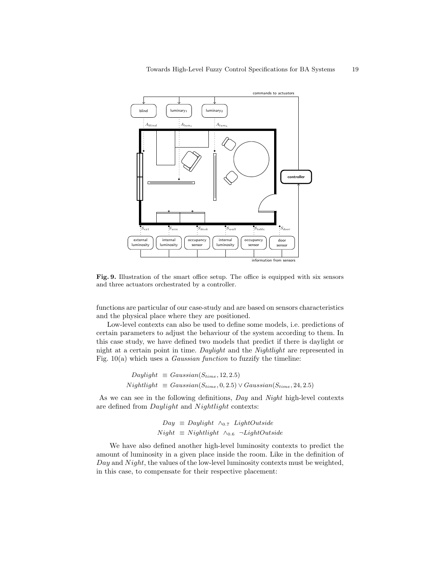

Fig. 9. Illustration of the smart office setup. The office is equipped with six sensors and three actuators orchestrated by a controller.

functions are particular of our case-study and are based on sensors characteristics and the physical place where they are positioned.

Low-level contexts can also be used to define some models, i.e. predictions of certain parameters to adjust the behaviour of the system according to them. In this case study, we have defined two models that predict if there is daylight or night at a certain point in time. Daylight and the Nightlight are represented in Fig. 10(a) which uses a Gaussian function to fuzzify the timeline:

> $Daylight \equiv Gaussian(S_{time}, 12, 2.5)$  $Nighthight$  = Gaussian( $S_{time}$ , 0, 2.5)  $\vee$  Gaussian( $S_{time}$ , 24, 2.5)

As we can see in the following definitions, Day and Night high-level contexts are defined from *Daylight* and *Nightlight* contexts:

$$
Day \equiv Daylight \land_{0.7} LightOutside
$$
  
 
$$
Night \equiv Nightlight \land_{0.6} \neg LightOutside
$$

We have also defined another high-level luminosity contexts to predict the amount of luminosity in a given place inside the room. Like in the definition of  $Day$  and  $Right$ , the values of the low-level luminosity contexts must be weighted, in this case, to compensate for their respective placement: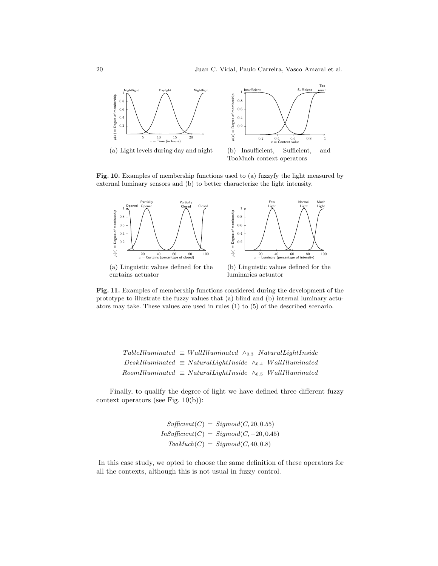

(b) Insufficient, Sufficient, and TooMuch context operators

Fig. 10. Examples of membership functions used to (a) fuzzyfy the light measured by external luminary sensors and (b) to better characterize the light intensity.



Fig. 11. Examples of membership functions considered during the development of the prototype to illustrate the fuzzy values that (a) blind and (b) internal luminary actuators may take. These values are used in rules (1) to (5) of the described scenario.

 $Table Illuminated \equiv Wall Illuminated \wedge_{0.3} NaturalLightInside \$  $Desk Illuminated \equiv NaturalLightInside \wedge_{0.4} Wall Illuminated$  $Room Illuminated \equiv NaturalLightInside \wedge_{0.5} Wall Illuminated$ 

Finally, to qualify the degree of light we have defined three different fuzzy context operators (see Fig. 10(b)):

$$
Sufficient(C) = Sigmoid(C, 20, 0.55)
$$
  

$$
InSufficient(C) = Sigmoid(C, -20, 0.45)
$$
  

$$
ToMuch(C) = Sigmoid(C, 40, 0.8)
$$

In this case study, we opted to choose the same definition of these operators for all the contexts, although this is not usual in fuzzy control.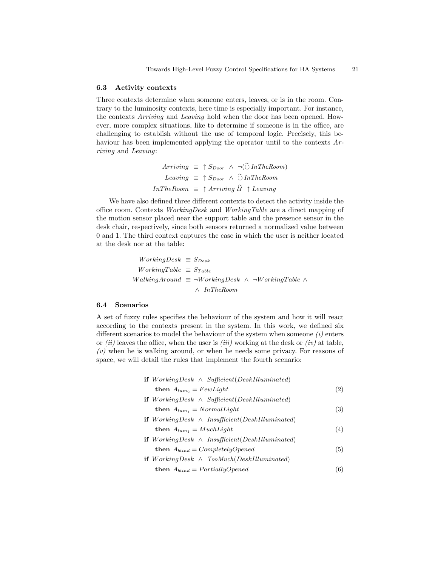#### 6.3 Activity contexts

Three contexts determine when someone enters, leaves, or is in the room. Contrary to the luminosity contexts, here time is especially important. For instance, the contexts Arriving and Leaving hold when the door has been opened. However, more complex situations, like to determine if someone is in the office, are challenging to establish without the use of temporal logic. Precisely, this behaviour has been implemented applying the operator until to the contexts Arriving and Leaving:

*Arriving* 
$$
\equiv \uparrow S_{Door} \wedge \neg(\tilde{\ominus} InTheRoom)
$$
  
*Leaving*  $\equiv \uparrow S_{Door} \wedge \tilde{\ominus} InTheRoom$   
*InTheRoom*  $\equiv \uparrow Arriving \tilde{U} \uparrow Leaving$ 

We have also defined three different contexts to detect the activity inside the office room. Contexts WorkingDesk and WorkingTable are a direct mapping of the motion sensor placed near the support table and the presence sensor in the desk chair, respectively, since both sensors returned a normalized value between 0 and 1. The third context captures the case in which the user is neither located at the desk nor at the table:

*WorkingDesk* 
$$
\equiv
$$
  $S_{Desk}$   
\n*WorkingTable*  $\equiv$   $S_{Table}$   
\n*WakingAround*  $\equiv \neg WorkingDesk \land \neg WorkingTable \land$   
\n $\land InTheRoom$ 

### 6.4 Scenarios

A set of fuzzy rules specifies the behaviour of the system and how it will react according to the contexts present in the system. In this work, we defined six different scenarios to model the behaviour of the system when someone  $(i)$  enters or *(ii)* leaves the office, when the user is *(iii)* working at the desk or *(iv)* at table,  $(v)$  when he is walking around, or when he needs some privacy. For reasons of space, we will detail the rules that implement the fourth scenario:

| <b>if</b> $WorkingDesk \wedge Sufficient(DeskIlluminated)$    |     |
|---------------------------------------------------------------|-----|
| then $A_{lum_2} = FewLight$                                   | (2) |
| <b>if</b> $WorkingDesk \wedge Sufficient(DeskIlluminated)$    |     |
| <b>then</b> $A_{lum_1}$ = Normal Light                        | (3) |
| <b>if</b> $WorkingDesk \wedge Insufficient(Desk Illuminated)$ |     |
| then $A_{lum_1} = MuchLight$                                  | (4) |
| <b>if</b> $WorkingDesk \wedge Insufficient(Desk Illuminated)$ |     |
| <b>then</b> $A_{blind} = CompletelyOpend$                     | (5) |
| <b>if</b> $WorkingDesk \wedge TooMuch(DeskIlluminated)$       |     |
| <b>then</b> $A_{blind} = PartiallyOpend$                      | (6) |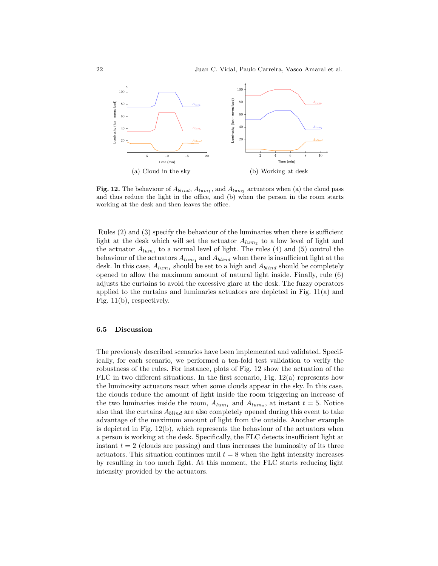

Fig. 12. The behaviour of  $A_{blind}$ ,  $A_{lum_1}$ , and  $A_{lum_2}$  actuators when (a) the cloud pass and thus reduce the light in the office, and (b) when the person in the room starts working at the desk and then leaves the office.

Rules (2) and (3) specify the behaviour of the luminaries when there is sufficient light at the desk which will set the actuator  $A_{lum_2}$  to a low level of light and the actuator  $A_{lum_1}$  to a normal level of light. The rules (4) and (5) control the behaviour of the actuators  $A_{lum_1}$  and  $A_{blind}$  when there is insufficient light at the desk. In this case,  $A_{lum_1}$  should be set to a high and  $A_{blind}$  should be completely opened to allow the maximum amount of natural light inside. Finally, rule (6) adjusts the curtains to avoid the excessive glare at the desk. The fuzzy operators applied to the curtains and luminaries actuators are depicted in Fig. 11(a) and Fig. 11(b), respectively.

#### 6.5 Discussion

The previously described scenarios have been implemented and validated. Specifically, for each scenario, we performed a ten-fold test validation to verify the robustness of the rules. For instance, plots of Fig. 12 show the actuation of the FLC in two different situations. In the first scenario, Fig.  $12(a)$  represents how the luminosity actuators react when some clouds appear in the sky. In this case, the clouds reduce the amount of light inside the room triggering an increase of the two luminaries inside the room,  $A_{lum_1}$  and  $A_{lum_2}$ , at instant  $t = 5$ . Notice also that the curtains  $A_{blind}$  are also completely opened during this event to take advantage of the maximum amount of light from the outside. Another example is depicted in Fig. 12(b), which represents the behaviour of the actuators when a person is working at the desk. Specifically, the FLC detects insufficient light at instant  $t = 2$  (clouds are passing) and thus increases the luminosity of its three actuators. This situation continues until  $t = 8$  when the light intensity increases by resulting in too much light. At this moment, the FLC starts reducing light intensity provided by the actuators.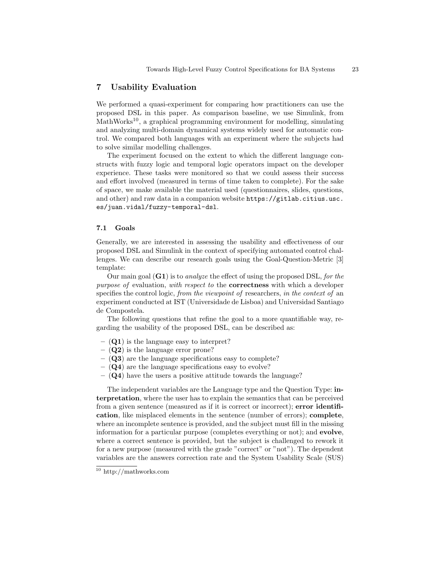# 7 Usability Evaluation

We performed a quasi-experiment for comparing how practitioners can use the proposed DSL in this paper. As comparison baseline, we use Simulink, from MathWorks<sup>10</sup>, a graphical programming environment for modelling, simulating and analyzing multi-domain dynamical systems widely used for automatic control. We compared both languages with an experiment where the subjects had to solve similar modelling challenges.

The experiment focused on the extent to which the different language constructs with fuzzy logic and temporal logic operators impact on the developer experience. These tasks were monitored so that we could assess their success and effort involved (measured in terms of time taken to complete). For the sake of space, we make available the material used (questionnaires, slides, questions, and other) and raw data in a companion website https://gitlab.citius.usc. es/juan.vidal/fuzzy-temporal-dsl.

# 7.1 Goals

Generally, we are interested in assessing the usability and effectiveness of our proposed DSL and Simulink in the context of specifying automated control challenges. We can describe our research goals using the Goal-Question-Metric [3] template:

Our main goal  $(G_1)$  is to *analyze* the effect of using the proposed DSL, for the purpose of evaluation, with respect to the correctness with which a developer specifies the control logic, from the viewpoint of researchers, in the context of an experiment conducted at IST (Universidade de Lisboa) and Universidad Santiago de Compostela.

The following questions that refine the goal to a more quantifiable way, regarding the usability of the proposed DSL, can be described as:

- $-$  (Q1) is the language easy to interpret?
- $-$  (Q2) is the language error prone?
- $-$  (Q3) are the language specifications easy to complete?
- $-$  (Q4) are the language specifications easy to evolve?
- $-$  (Q4) have the users a positive attitude towards the language?

The independent variables are the Language type and the Question Type: interpretation, where the user has to explain the semantics that can be perceived from a given sentence (measured as if it is correct or incorrect); error identification, like misplaced elements in the sentence (number of errors); complete, where an incomplete sentence is provided, and the subject must fill in the missing information for a particular purpose (completes everything or not); and **evolve**, where a correct sentence is provided, but the subject is challenged to rework it for a new purpose (measured with the grade "correct" or "not"). The dependent variables are the answers correction rate and the System Usability Scale (SUS)

 $10$  http://mathworks.com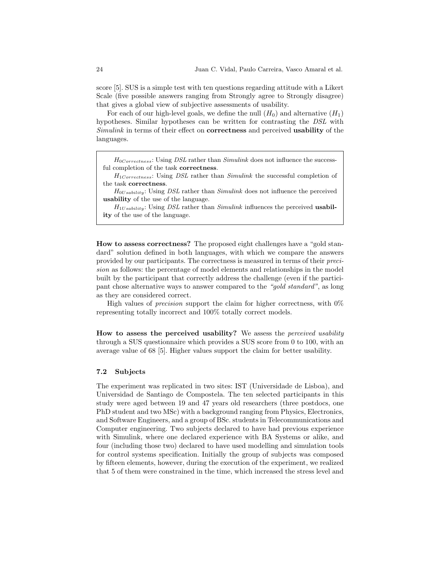score [5]. SUS is a simple test with ten questions regarding attitude with a Likert Scale (five possible answers ranging from Strongly agree to Strongly disagree) that gives a global view of subjective assessments of usability.

For each of our high-level goals, we define the null  $(H_0)$  and alternative  $(H_1)$ hypotheses. Similar hypotheses can be written for contrasting the DSL with Simulink in terms of their effect on correctness and perceived usability of the languages.

 $H_{0Corrections}$ : Using *DSL* rather than *Simulink* does not influence the successful completion of the task correctness.

 $H_{1Correctness}$ : Using *DSL* rather than *Simulink* the successful completion of the task correctness.

 $H_{0Usability}$ : Using DSL rather than Simulink does not influence the perceived usability of the use of the language.

 $H_{1Usability}$ : Using *DSL* rather than *Simulink* influences the perceived **usabil**ity of the use of the language.

How to assess correctness? The proposed eight challenges have a "gold standard" solution defined in both languages, with which we compare the answers provided by our participants. The correctness is measured in terms of their precision as follows: the percentage of model elements and relationships in the model built by the participant that correctly address the challenge (even if the participant chose alternative ways to answer compared to the "gold standard", as long as they are considered correct.

High values of *precision* support the claim for higher correctness, with  $0\%$ representing totally incorrect and 100% totally correct models.

How to assess the perceived usability? We assess the perceived usability through a SUS questionnaire which provides a SUS score from 0 to 100, with an average value of 68 [5]. Higher values support the claim for better usability.

#### 7.2 Subjects

The experiment was replicated in two sites: IST (Universidade de Lisboa), and Universidad de Santiago de Compostela. The ten selected participants in this study were aged between 19 and 47 years old researchers (three postdocs, one PhD student and two MSc) with a background ranging from Physics, Electronics, and Software Engineers, and a group of BSc. students in Telecommunications and Computer engineering. Two subjects declared to have had previous experience with Simulink, where one declared experience with BA Systems or alike, and four (including those two) declared to have used modelling and simulation tools for control systems specification. Initially the group of subjects was composed by fifteen elements, however, during the execution of the experiment, we realized that 5 of them were constrained in the time, which increased the stress level and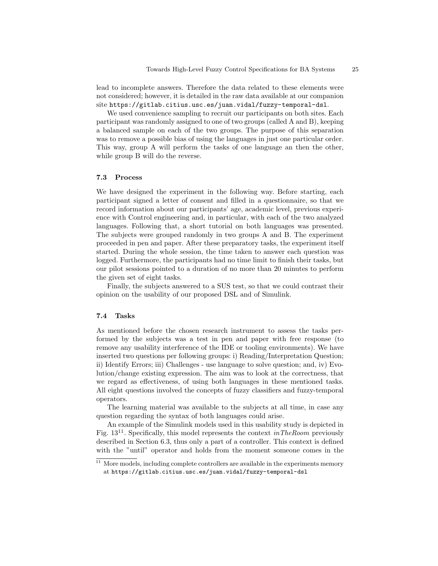lead to incomplete answers. Therefore the data related to these elements were not considered; however, it is detailed in the raw data available at our companion site https://gitlab.citius.usc.es/juan.vidal/fuzzy-temporal-dsl.

We used convenience sampling to recruit our participants on both sites. Each participant was randomly assigned to one of two groups (called A and B), keeping a balanced sample on each of the two groups. The purpose of this separation was to remove a possible bias of using the languages in just one particular order. This way, group A will perform the tasks of one language an then the other, while group B will do the reverse.

#### 7.3 Process

We have designed the experiment in the following way. Before starting, each participant signed a letter of consent and filled in a questionnaire, so that we record information about our participants' age, academic level, previous experience with Control engineering and, in particular, with each of the two analyzed languages. Following that, a short tutorial on both languages was presented. The subjects were grouped randomly in two groups A and B. The experiment proceeded in pen and paper. After these preparatory tasks, the experiment itself started. During the whole session, the time taken to answer each question was logged. Furthermore, the participants had no time limit to finish their tasks, but our pilot sessions pointed to a duration of no more than 20 minutes to perform the given set of eight tasks.

Finally, the subjects answered to a SUS test, so that we could contrast their opinion on the usability of our proposed DSL and of Simulink.

#### 7.4 Tasks

As mentioned before the chosen research instrument to assess the tasks performed by the subjects was a test in pen and paper with free response (to remove any usability interference of the IDE or tooling environments). We have inserted two questions per following groups: i) Reading/Interpretation Question; ii) Identify Errors; iii) Challenges - use language to solve question; and, iv) Evolution/change existing expression. The aim was to look at the correctness, that we regard as effectiveness, of using both languages in these mentioned tasks. All eight questions involved the concepts of fuzzy classifiers and fuzzy-temporal operators.

The learning material was available to the subjects at all time, in case any question regarding the syntax of both languages could arise.

An example of the Simulink models used in this usability study is depicted in Fig.  $13^{11}$ . Specifically, this model represents the context *inTheRoom* previously described in Section 6.3, thus only a part of a controller. This context is defined with the "until" operator and holds from the moment someone comes in the

 $11$  More models, including complete controllers are available in the experiments memory at https://gitlab.citius.usc.es/juan.vidal/fuzzy-temporal-dsl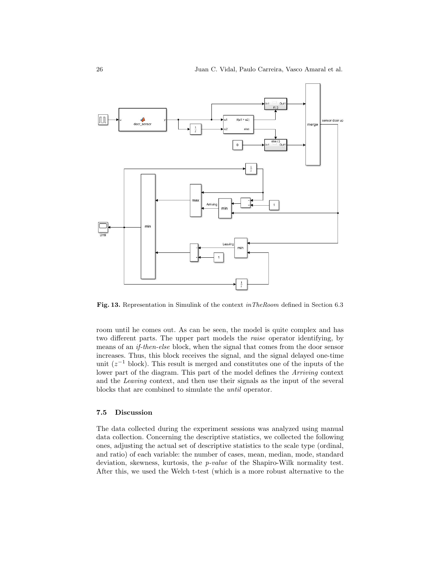

Fig. 13. Representation in Simulink of the context inTheRoom defined in Section 6.3

room until he comes out. As can be seen, the model is quite complex and has two different parts. The upper part models the raise operator identifying, by means of an if-then-else block, when the signal that comes from the door sensor increases. Thus, this block receives the signal, and the signal delayed one-time unit  $(z^{-1}$  block). This result is merged and constitutes one of the inputs of the lower part of the diagram. This part of the model defines the Arriving context and the Leaving context, and then use their signals as the input of the several blocks that are combined to simulate the until operator.

# 7.5 Discussion

The data collected during the experiment sessions was analyzed using manual data collection. Concerning the descriptive statistics, we collected the following ones, adjusting the actual set of descriptive statistics to the scale type (ordinal, and ratio) of each variable: the number of cases, mean, median, mode, standard deviation, skewness, kurtosis, the p-value of the Shapiro-Wilk normality test. After this, we used the Welch t-test (which is a more robust alternative to the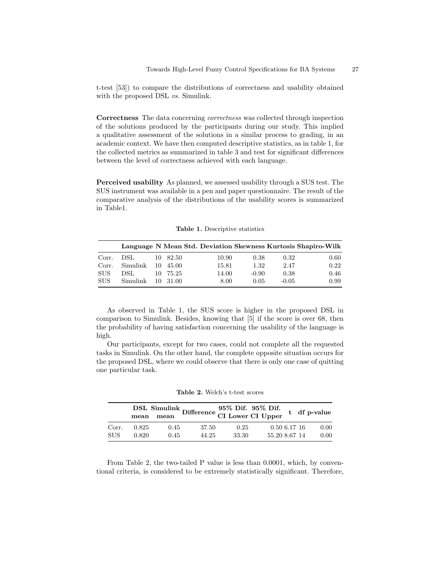t-test [53]) to compare the distributions of correctness and usability obtained with the proposed DSL vs. Simulink.

Correctness The data concerning correctness was collected through inspection of the solutions produced by the participants during our study. This implied a qualitative assessment of the solutions in a similar process to grading, in an academic context. We have then computed descriptive statistics, as in table 1, for the collected metrics as summarized in table 3 and test for significant differences between the level of correctness achieved with each language.

Perceived usability As planned, we assessed usability through a SUS test. The SUS instrument was available in a pen and paper questionnaire. The result of the comparative analysis of the distributions of the usability scores is summarized in Table1.

|            |          |     |          |       |         |         | Language N Mean Std. Deviation Skewness Kurtosis Shapiro-Wilk |
|------------|----------|-----|----------|-------|---------|---------|---------------------------------------------------------------|
| Corr.      | - DSL    |     | 10 82.50 | 10.90 | 0.38    | 0.32    | 0.60                                                          |
| Corr.      | Simulink | 10. | -45.00   | 15.81 | 1.32    | 2.47    | 0.22                                                          |
| <b>SUS</b> | DSL.     |     | 10 75.25 | 14.00 | $-0.90$ | 0.38    | 0.46                                                          |
| <b>SUS</b> | Simulink |     | 10 31.00 | 8.00  | 0.05    | $-0.05$ | 0.99                                                          |

Table 1. Descriptive statistics

As observed in Table 1, the SUS score is higher in the proposed DSL in comparison to Simulink. Besides, knowing that [5] if the score is over 68, then the probability of having satisfaction concerning the usability of the language is high.

Our participants, except for two cases, could not complete all the requested tasks in Simulink. On the other hand, the complete opposite situation occurs for the proposed DSL, where we could observe that there is only one case of quitting one particular task.

Table 2. Welch's t-test scores

|       | mean  |      | DSL Simulink Difference 95% Dif. 95% Dif.<br>mean mean Difference CI Lower CI Upper |       |               |  | t df p-value |
|-------|-------|------|-------------------------------------------------------------------------------------|-------|---------------|--|--------------|
| Corr. | 0.825 | 0.45 | 37.50                                                                               | 0.25  | 0.506.1716    |  | 0.00         |
| SUS.  | 0.820 | 0.45 | 44.25                                                                               | 33.30 | 55.20 8.67 14 |  | 0.00         |

From Table 2, the two-tailed P value is less than 0.0001, which, by conventional criteria, is considered to be extremely statistically significant. Therefore,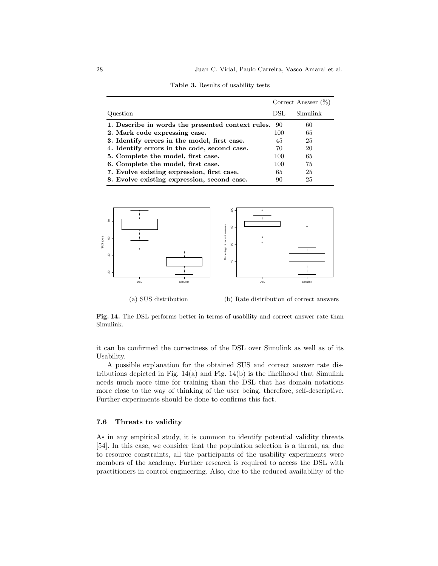|                                                      | Correct Answer $(\%)$ |          |  |
|------------------------------------------------------|-----------------------|----------|--|
| Question                                             | DSL                   | Simulink |  |
| 1. Describe in words the presented context rules. 90 |                       | 60       |  |
| 2. Mark code expressing case.                        | 100                   | 65       |  |
| 3. Identify errors in the model, first case.         | 45                    | 25       |  |
| 4. Identify errors in the code, second case.         | 70                    | 20       |  |
| 5. Complete the model, first case.                   | 100                   | 65       |  |
| 6. Complete the model, first case.                   | 100                   | 75       |  |
| 7. Evolve existing expression, first case.           | 65                    | 25       |  |
| 8. Evolve existing expression, second case.          | 90                    | 25       |  |

Table 3. Results of usability tests



(a) SUS distribution (b) Rate distribution of correct answers

Fig. 14. The DSL performs better in terms of usability and correct answer rate than Simulink.

it can be confirmed the correctness of the DSL over Simulink as well as of its Usability.

A possible explanation for the obtained SUS and correct answer rate distributions depicted in Fig. 14(a) and Fig. 14(b) is the likelihood that Simulink needs much more time for training than the DSL that has domain notations more close to the way of thinking of the user being, therefore, self-descriptive. Further experiments should be done to confirms this fact.

#### 7.6 Threats to validity

As in any empirical study, it is common to identify potential validity threats [54]. In this case, we consider that the population selection is a threat, as, due to resource constraints, all the participants of the usability experiments were members of the academy. Further research is required to access the DSL with practitioners in control engineering. Also, due to the reduced availability of the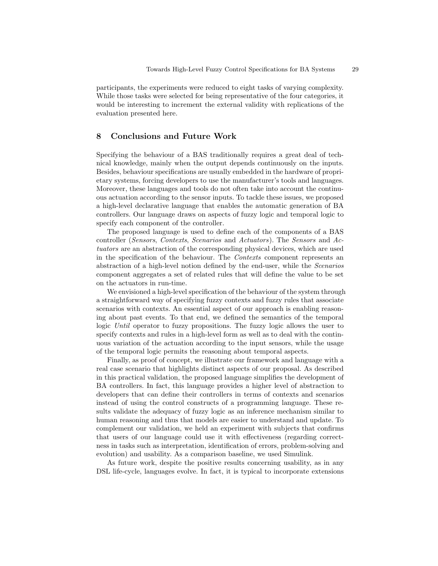participants, the experiments were reduced to eight tasks of varying complexity. While those tasks were selected for being representative of the four categories, it would be interesting to increment the external validity with replications of the evaluation presented here.

# 8 Conclusions and Future Work

Specifying the behaviour of a BAS traditionally requires a great deal of technical knowledge, mainly when the output depends continuously on the inputs. Besides, behaviour specifications are usually embedded in the hardware of proprietary systems, forcing developers to use the manufacturer's tools and languages. Moreover, these languages and tools do not often take into account the continuous actuation according to the sensor inputs. To tackle these issues, we proposed a high-level declarative language that enables the automatic generation of BA controllers. Our language draws on aspects of fuzzy logic and temporal logic to specify each component of the controller.

The proposed language is used to define each of the components of a BAS controller (Sensors, Contexts, Scenarios and Actuators). The Sensors and Actuators are an abstraction of the corresponding physical devices, which are used in the specification of the behaviour. The Contexts component represents an abstraction of a high-level notion defined by the end-user, while the Scenarios component aggregates a set of related rules that will define the value to be set on the actuators in run-time.

We envisioned a high-level specification of the behaviour of the system through a straightforward way of specifying fuzzy contexts and fuzzy rules that associate scenarios with contexts. An essential aspect of our approach is enabling reasoning about past events. To that end, we defined the semantics of the temporal logic Until operator to fuzzy propositions. The fuzzy logic allows the user to specify contexts and rules in a high-level form as well as to deal with the continuous variation of the actuation according to the input sensors, while the usage of the temporal logic permits the reasoning about temporal aspects.

Finally, as proof of concept, we illustrate our framework and language with a real case scenario that highlights distinct aspects of our proposal. As described in this practical validation, the proposed language simplifies the development of BA controllers. In fact, this language provides a higher level of abstraction to developers that can define their controllers in terms of contexts and scenarios instead of using the control constructs of a programming language. These results validate the adequacy of fuzzy logic as an inference mechanism similar to human reasoning and thus that models are easier to understand and update. To complement our validation, we held an experiment with subjects that confirms that users of our language could use it with effectiveness (regarding correctness in tasks such as interpretation, identification of errors, problem-solving and evolution) and usability. As a comparison baseline, we used Simulink.

As future work, despite the positive results concerning usability, as in any DSL life-cycle, languages evolve. In fact, it is typical to incorporate extensions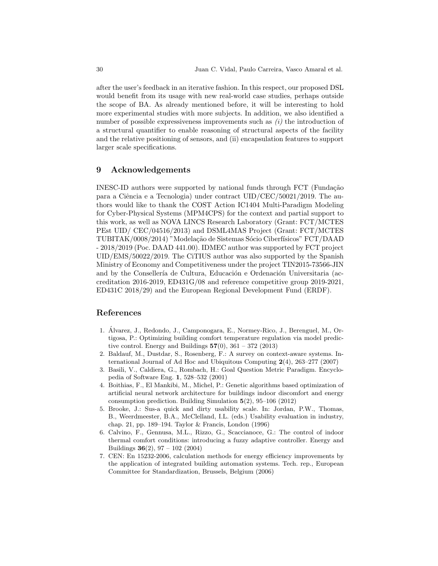after the user's feedback in an iterative fashion. In this respect, our proposed DSL would benefit from its usage with new real-world case studies, perhaps outside the scope of BA. As already mentioned before, it will be interesting to hold more experimental studies with more subjects. In addition, we also identified a number of possible expressiveness improvements such as  $(i)$  the introduction of a structural quantifier to enable reasoning of structural aspects of the facility and the relative positioning of sensors, and (ii) encapsulation features to support larger scale specifications.

# 9 Acknowledgements

INESC-ID authors were supported by national funds through FCT (Fundação para a Ciência e a Tecnologia) under contract UID/CEC/50021/2019. The authors would like to thank the COST Action IC1404 Multi-Paradigm Modeling for Cyber-Physical Systems (MPM4CPS) for the context and partial support to this work, as well as NOVA LINCS Research Laboratory (Grant: FCT/MCTES PEst UID/ CEC/04516/2013) and DSML4MAS Project (Grant: FCT/MCTES TUBITAK/0008/2014) "Modelação de Sistemas Sócio Ciberfísicos" FCT/DAAD - 2018/2019 (Poc. DAAD 441.00). IDMEC author was supported by FCT project UID/EMS/50022/2019. The CiTIUS author was also supported by the Spanish Ministry of Economy and Competitiveness under the project TIN2015-73566-JIN and by the Consellería de Cultura, Educación e Ordenación Universitaria (accreditation 2016-2019, ED431G/08 and reference competitive group 2019-2021, ED431C 2018/29) and the European Regional Development Fund (ERDF).

#### References

- 1. Alvarez, J., Redondo, J., Camponogara, E., Normey-Rico, J., Berenguel, M., Or- ´ tigosa, P.: Optimizing building comfort temperature regulation via model predictive control. Energy and Buildings  $57(0)$ ,  $361 - 372$  (2013)
- 2. Baldauf, M., Dustdar, S., Rosenberg, F.: A survey on context-aware systems. International Journal of Ad Hoc and Ubiquitous Computing  $2(4)$ , 263–277 (2007)
- 3. Basili, V., Caldiera, G., Rombach, H.: Goal Question Metric Paradigm. Encyclopedia of Software Eng. 1, 528–532 (2001)
- 4. Boithias, F., El Mankibi, M., Michel, P.: Genetic algorithms based optimization of artificial neural network architecture for buildings indoor discomfort and energy consumption prediction. Building Simulation 5(2), 95–106 (2012)
- 5. Brooke, J.: Sus-a quick and dirty usability scale. In: Jordan, P.W., Thomas, B., Weerdmeester, B.A., McClelland, I.L. (eds.) Usability evaluation in industry, chap. 21, pp. 189–194. Taylor & Francis, London (1996)
- 6. Calvino, F., Gennusa, M.L., Rizzo, G., Scaccianoce, G.: The control of indoor thermal comfort conditions: introducing a fuzzy adaptive controller. Energy and Buildings  $36(2)$ ,  $97 - 102$  (2004)
- 7. CEN: En 15232-2006, calculation methods for energy efficiency improvements by the application of integrated building automation systems. Tech. rep., European Committee for Standardization, Brussels, Belgium (2006)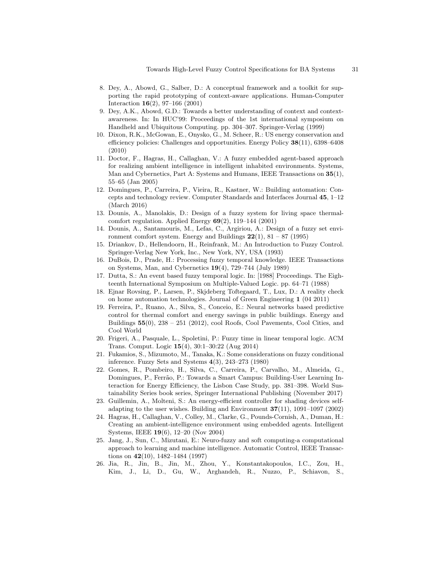- 8. Dey, A., Abowd, G., Salber, D.: A conceptual framework and a toolkit for supporting the rapid prototyping of context-aware applications. Human-Computer Interaction 16(2), 97–166 (2001)
- 9. Dey, A.K., Abowd, G.D.: Towards a better understanding of context and contextawareness. In: In HUC'99: Proceedings of the 1st international symposium on Handheld and Ubiquitous Computing. pp. 304–307. Springer-Verlag (1999)
- 10. Dixon, R.K., McGowan, E., Onysko, G., M. Scheer, R.: US energy conservation and efficiency policies: Challenges and opportunities. Energy Policy 38(11), 6398–6408 (2010)
- 11. Doctor, F., Hagras, H., Callaghan, V.: A fuzzy embedded agent-based approach for realizing ambient intelligence in intelligent inhabited environments. Systems, Man and Cybernetics, Part A: Systems and Humans, IEEE Transactions on  $35(1)$ , 55–65 (Jan 2005)
- 12. Domingues, P., Carreira, P., Vieira, R., Kastner, W.: Building automation: Concepts and technology review. Computer Standards and Interfaces Journal 45, 1–12 (March 2016)
- 13. Dounis, A., Manolakis, D.: Design of a fuzzy system for living space thermalcomfort regulation. Applied Energy  $69(2)$ , 119–144 (2001)
- 14. Dounis, A., Santamouris, M., Lefas, C., Argiriou, A.: Design of a fuzzy set environment comfort system. Energy and Buildings  $22(1)$ ,  $81 - 87$  (1995)
- 15. Driankov, D., Hellendoorn, H., Reinfrank, M.: An Introduction to Fuzzy Control. Springer-Verlag New York, Inc., New York, NY, USA (1993)
- 16. DuBois, D., Prade, H.: Processing fuzzy temporal knowledge. IEEE Transactions on Systems, Man, and Cybernetics 19(4), 729–744 (July 1989)
- 17. Dutta, S.: An event based fuzzy temporal logic. In: [1988] Proceedings. The Eighteenth International Symposium on Multiple-Valued Logic. pp. 64–71 (1988)
- 18. Ejnar Rovsing, P., Larsen, P., Skjdeberg Toftegaard, T., Lux, D.: A reality check on home automation technologies. Journal of Green Engineering 1 (04 2011)
- 19. Ferreira, P., Ruano, A., Silva, S., Conceio, E.: Neural networks based predictive control for thermal comfort and energy savings in public buildings. Energy and Buildings  $55(0)$ ,  $238 - 251$  (2012), cool Roofs, Cool Pavements, Cool Cities, and Cool World
- 20. Frigeri, A., Pasquale, L., Spoletini, P.: Fuzzy time in linear temporal logic. ACM Trans. Comput. Logic 15(4), 30:1–30:22 (Aug 2014)
- 21. Fukamios, S., Mizumoto, M., Tanaka, K.: Some considerations on fuzzy conditional inference. Fuzzy Sets and Systems 4(3), 243–273 (1980)
- 22. Gomes, R., Pombeiro, H., Silva, C., Carreira, P., Carvalho, M., Almeida, G., Domingues, P., Ferrão, P.: Towards a Smart Campus: Building-User Learning Interaction for Energy Efficiency, the Lisbon Case Study, pp. 381–398. World Sustainability Series book series, Springer International Publishing (November 2017)
- 23. Guillemin, A., Molteni, S.: An energy-efficient controller for shading devices selfadapting to the user wishes. Building and Environment 37(11), 1091–1097 (2002)
- 24. Hagras, H., Callaghan, V., Colley, M., Clarke, G., Pounds-Cornish, A., Duman, H.: Creating an ambient-intelligence environment using embedded agents. Intelligent Systems, IEEE 19(6), 12–20 (Nov 2004)
- 25. Jang, J., Sun, C., Mizutani, E.: Neuro-fuzzy and soft computing-a computational approach to learning and machine intelligence. Automatic Control, IEEE Transactions on  $42(10)$ , 1482–1484 (1997)
- 26. Jia, R., Jin, B., Jin, M., Zhou, Y., Konstantakopoulos, I.C., Zou, H., Kim, J., Li, D., Gu, W., Arghandeh, R., Nuzzo, P., Schiavon, S.,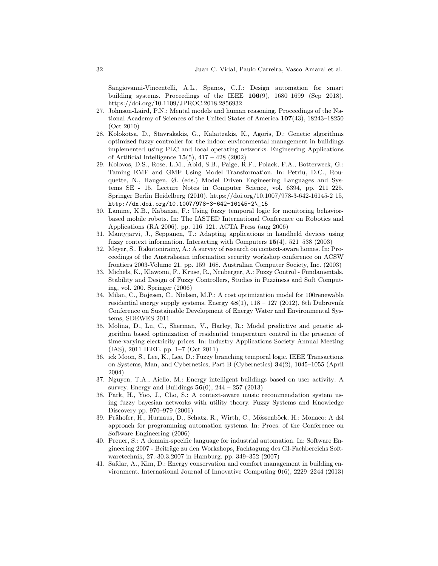Sangiovanni-Vincentelli, A.L., Spanos, C.J.: Design automation for smart building systems. Proceedings of the IEEE  $106(9)$ , 1680–1699 (Sep 2018). https://doi.org/10.1109/JPROC.2018.2856932

- 27. Johnson-Laird, P.N.: Mental models and human reasoning. Proceedings of the National Academy of Sciences of the United States of America 107(43), 18243–18250 (Oct 2010)
- 28. Kolokotsa, D., Stavrakakis, G., Kalaitzakis, K., Agoris, D.: Genetic algorithms optimized fuzzy controller for the indoor environmental management in buildings implemented using PLC and local operating networks. Engineering Applications of Artificial Intelligence 15(5), 417 – 428 (2002)
- 29. Kolovos, D.S., Rose, L.M., Abid, S.B., Paige, R.F., Polack, F.A., Botterweck, G.: Taming EMF and GMF Using Model Transformation. In: Petriu, D.C., Rouquette, N., Haugen, Ø. (eds.) Model Driven Engineering Languages and Systems SE - 15, Lecture Notes in Computer Science, vol. 6394, pp. 211–225. Springer Berlin Heidelberg (2010). https://doi.org/10.1007/978-3-642-16145-2 15, http://dx.doi.org/10.1007/978-3-642-16145-2\\_15
- 30. Lamine, K.B., Kabanza, F.: Using fuzzy temporal logic for monitoring behaviorbased mobile robots. In: The IASTED International Conference on Robotics and Applications (RA 2006). pp. 116–121. ACTA Press (aug 2006)
- 31. Mantyjarvi, J., Seppanen, T.: Adapting applications in handheld devices using fuzzy context information. Interacting with Computers 15(4), 521–538 (2003)
- 32. Meyer, S., Rakotonirainy, A.: A survey of research on context-aware homes. In: Proceedings of the Australasian information security workshop conference on ACSW frontiers 2003-Volume 21. pp. 159–168. Australian Computer Society, Inc. (2003)
- 33. Michels, K., Klawonn, F., Kruse, R., Nrnberger, A.: Fuzzy Control Fundamentals, Stability and Design of Fuzzy Controllers, Studies in Fuzziness and Soft Computing, vol. 200. Springer (2006)
- 34. Milan, C., Bojesen, C., Nielsen, M.P.: A cost optimization model for 100renewable residential energy supply systems. Energy  $48(1)$ ,  $118 - 127$  (2012), 6th Dubrovnik Conference on Sustainable Development of Energy Water and Environmental Systems, SDEWES 2011
- 35. Molina, D., Lu, C., Sherman, V., Harley, R.: Model predictive and genetic algorithm based optimization of residential temperature control in the presence of time-varying electricity prices. In: Industry Applications Society Annual Meeting (IAS), 2011 IEEE. pp. 1–7 (Oct 2011)
- 36. ick Moon, S., Lee, K., Lee, D.: Fuzzy branching temporal logic. IEEE Transactions on Systems, Man, and Cybernetics, Part B (Cybernetics) 34(2), 1045–1055 (April 2004)
- 37. Nguyen, T.A., Aiello, M.: Energy intelligent buildings based on user activity: A survey. Energy and Buildings  $56(0)$ ,  $244 - 257$  (2013)
- 38. Park, H., Yoo, J., Cho, S.: A context-aware music recommendation system using fuzzy bayesian networks with utility theory. Fuzzy Systems and Knowledge Discovery pp. 970–979 (2006)
- 39. Prähofer, H., Hurnaus, D., Schatz, R., Wirth, C., Mössenböck, H.: Monaco: A dsl approach for programming automation systems. In: Procs. of the Conference on Software Engineering (2006)
- 40. Preuer, S.: A domain-specific language for industrial automation. In: Software Engineering 2007 - Beiträge zu den Workshops, Fachtagung des GI-Fachbereichs Softwaretechnik, 27.-30.3.2007 in Hamburg. pp. 349–352 (2007)
- 41. Safdar, A., Kim, D.: Energy conservation and comfort management in building environment. International Journal of Innovative Computing 9(6), 2229–2244 (2013)